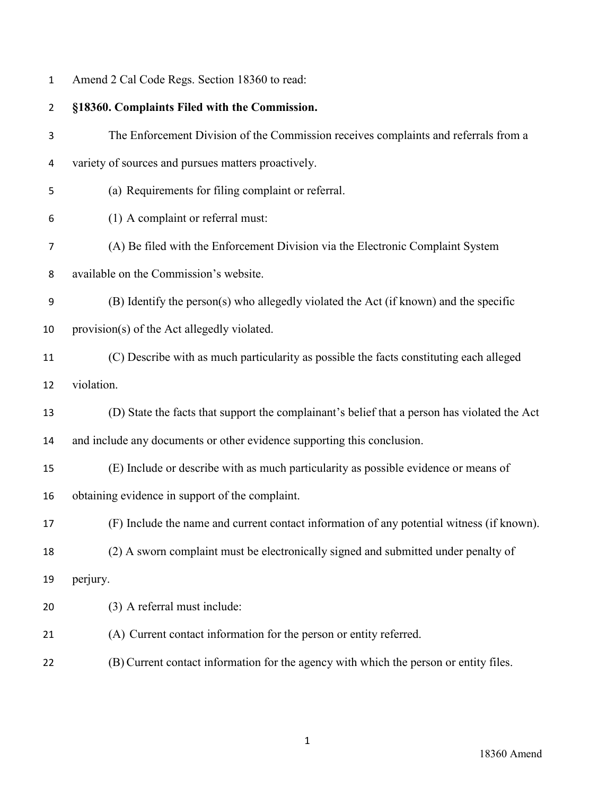| $\overline{2}$ | §18360. Complaints Filed with the Commission.                                                |
|----------------|----------------------------------------------------------------------------------------------|
| 3              | The Enforcement Division of the Commission receives complaints and referrals from a          |
| 4              | variety of sources and pursues matters proactively.                                          |
| 5              | (a) Requirements for filing complaint or referral.                                           |
| 6              | (1) A complaint or referral must:                                                            |
| 7              | (A) Be filed with the Enforcement Division via the Electronic Complaint System               |
| 8              | available on the Commission's website.                                                       |
| 9              | (B) Identify the person(s) who allegedly violated the Act (if known) and the specific        |
| 10             | provision(s) of the Act allegedly violated.                                                  |
| 11             | (C) Describe with as much particularity as possible the facts constituting each alleged      |
| 12             | violation.                                                                                   |
| 13             | (D) State the facts that support the complainant's belief that a person has violated the Act |
| 14             | and include any documents or other evidence supporting this conclusion.                      |
| 15             | (E) Include or describe with as much particularity as possible evidence or means of          |
| 16             | obtaining evidence in support of the complaint.                                              |
| 17             | (F) Include the name and current contact information of any potential witness (if known).    |
| 18             | (2) A sworn complaint must be electronically signed and submitted under penalty of           |
| 19             | perjury.                                                                                     |
| 20             | (3) A referral must include:                                                                 |
| 21             | (A) Current contact information for the person or entity referred.                           |
| 22             | (B) Current contact information for the agency with which the person or entity files.        |

Amend 2 Cal Code Regs. Section 18360 to read: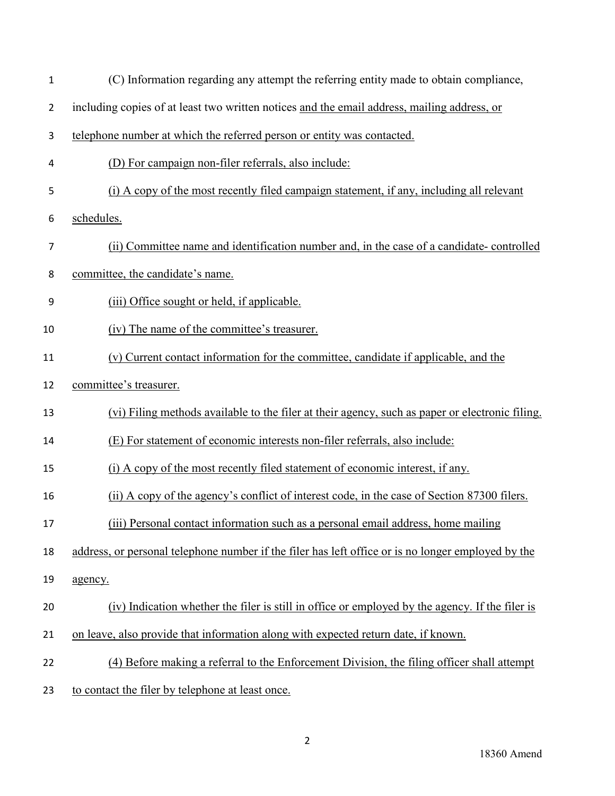| $\mathbf 1$    | (C) Information regarding any attempt the referring entity made to obtain compliance,              |
|----------------|----------------------------------------------------------------------------------------------------|
| $\overline{2}$ | including copies of at least two written notices and the email address, mailing address, or        |
| 3              | telephone number at which the referred person or entity was contacted.                             |
| 4              | (D) For campaign non-filer referrals, also include:                                                |
| 5              | (i) A copy of the most recently filed campaign statement, if any, including all relevant           |
| 6              | schedules.                                                                                         |
| 7              | (ii) Committee name and identification number and, in the case of a candidate-controlled           |
| 8              | committee, the candidate's name.                                                                   |
| 9              | (iii) Office sought or held, if applicable.                                                        |
| 10             | (iv) The name of the committee's treasurer.                                                        |
| 11             | (v) Current contact information for the committee, candidate if applicable, and the                |
| 12             | committee's treasurer.                                                                             |
| 13             | (vi) Filing methods available to the filer at their agency, such as paper or electronic filing.    |
| 14             | (E) For statement of economic interests non-filer referrals, also include:                         |
| 15             | (i) A copy of the most recently filed statement of economic interest, if any.                      |
| 16             | (ii) A copy of the agency's conflict of interest code, in the case of Section 87300 filers.        |
| 17             | (iii) Personal contact information such as a personal email address, home mailing                  |
| 18             | address, or personal telephone number if the filer has left office or is no longer employed by the |
| 19             | agency.                                                                                            |
| 20             | (iv) Indication whether the filer is still in office or employed by the agency. If the filer is    |
| 21             | on leave, also provide that information along with expected return date, if known.                 |
| 22             | (4) Before making a referral to the Enforcement Division, the filing officer shall attempt         |
| 23             | to contact the filer by telephone at least once.                                                   |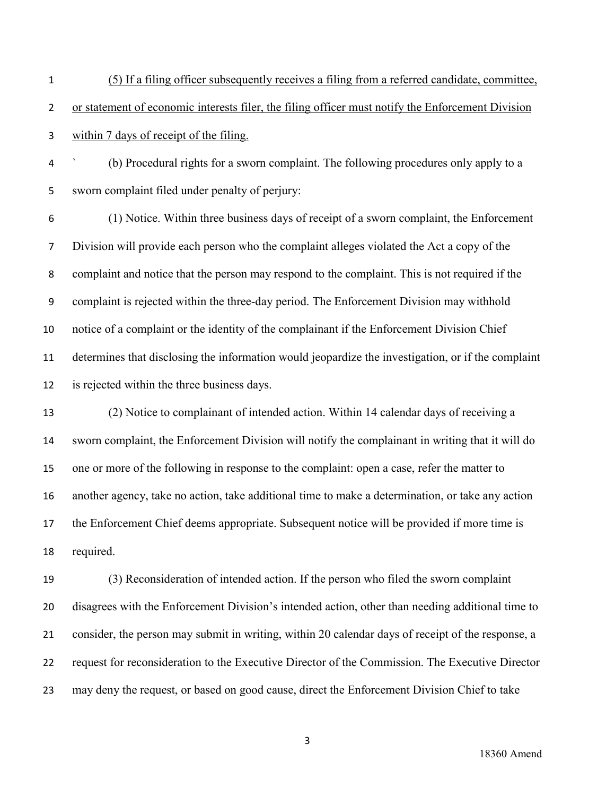- (5) If a filing officer subsequently receives a filing from a referred candidate, committee, or statement of economic interests filer, the filing officer must notify the Enforcement Division within 7 days of receipt of the filing.
- ` (b) Procedural rights for a sworn complaint. The following procedures only apply to a sworn complaint filed under penalty of perjury:

(1) Notice. Within three business days of receipt of a sworn complaint, the Enforcement Division will provide each person who the complaint alleges violated the Act a copy of the complaint and notice that the person may respond to the complaint. This is not required if the complaint is rejected within the three-day period. The Enforcement Division may withhold notice of a complaint or the identity of the complainant if the Enforcement Division Chief determines that disclosing the information would jeopardize the investigation, or if the complaint is rejected within the three business days.

 (2) Notice to complainant of intended action. Within 14 calendar days of receiving a sworn complaint, the Enforcement Division will notify the complainant in writing that it will do one or more of the following in response to the complaint: open a case, refer the matter to another agency, take no action, take additional time to make a determination, or take any action the Enforcement Chief deems appropriate. Subsequent notice will be provided if more time is required.

 (3) Reconsideration of intended action. If the person who filed the sworn complaint disagrees with the Enforcement Division's intended action, other than needing additional time to consider, the person may submit in writing, within 20 calendar days of receipt of the response, a request for reconsideration to the Executive Director of the Commission. The Executive Director may deny the request, or based on good cause, direct the Enforcement Division Chief to take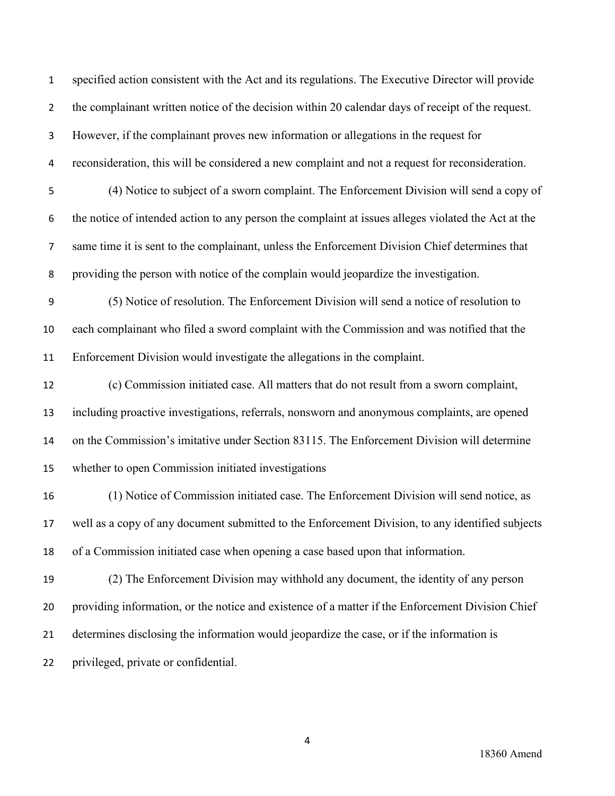specified action consistent with the Act and its regulations. The Executive Director will provide 2 the complainant written notice of the decision within 20 calendar days of receipt of the request. However, if the complainant proves new information or allegations in the request for reconsideration, this will be considered a new complaint and not a request for reconsideration. (4) Notice to subject of a sworn complaint. The Enforcement Division will send a copy of the notice of intended action to any person the complaint at issues alleges violated the Act at the same time it is sent to the complainant, unless the Enforcement Division Chief determines that providing the person with notice of the complain would jeopardize the investigation. (5) Notice of resolution. The Enforcement Division will send a notice of resolution to each complainant who filed a sword complaint with the Commission and was notified that the Enforcement Division would investigate the allegations in the complaint. (c) Commission initiated case. All matters that do not result from a sworn complaint, including proactive investigations, referrals, nonsworn and anonymous complaints, are opened on the Commission's imitative under Section 83115. The Enforcement Division will determine whether to open Commission initiated investigations (1) Notice of Commission initiated case. The Enforcement Division will send notice, as well as a copy of any document submitted to the Enforcement Division, to any identified subjects of a Commission initiated case when opening a case based upon that information. (2) The Enforcement Division may withhold any document, the identity of any person providing information, or the notice and existence of a matter if the Enforcement Division Chief determines disclosing the information would jeopardize the case, or if the information is privileged, private or confidential.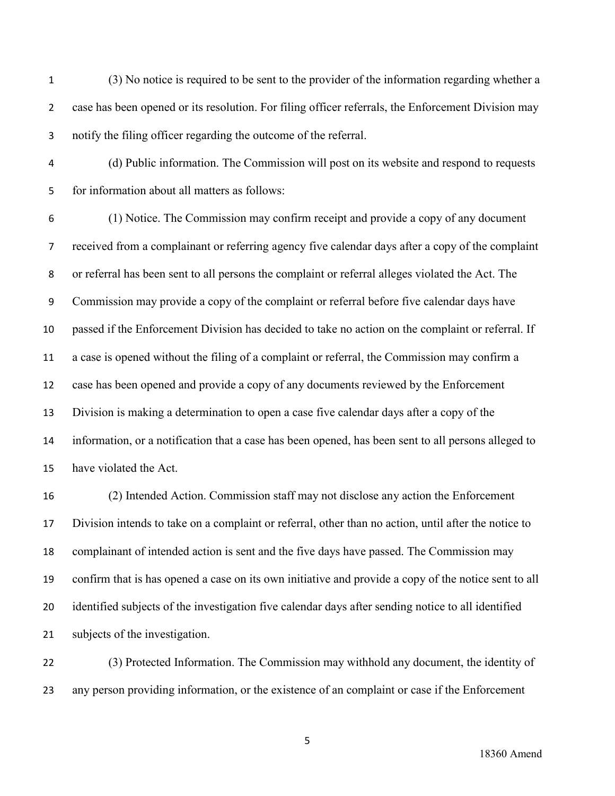(3) No notice is required to be sent to the provider of the information regarding whether a case has been opened or its resolution. For filing officer referrals, the Enforcement Division may notify the filing officer regarding the outcome of the referral.

(d) Public information. The Commission will post on its website and respond to requests for information about all matters as follows:

(1) Notice. The Commission may confirm receipt and provide a copy of any document received from a complainant or referring agency five calendar days after a copy of the complaint or referral has been sent to all persons the complaint or referral alleges violated the Act. The Commission may provide a copy of the complaint or referral before five calendar days have passed if the Enforcement Division has decided to take no action on the complaint or referral. If a case is opened without the filing of a complaint or referral, the Commission may confirm a case has been opened and provide a copy of any documents reviewed by the Enforcement Division is making a determination to open a case five calendar days after a copy of the information, or a notification that a case has been opened, has been sent to all persons alleged to have violated the Act.

 (2) Intended Action. Commission staff may not disclose any action the Enforcement Division intends to take on a complaint or referral, other than no action, until after the notice to complainant of intended action is sent and the five days have passed. The Commission may confirm that is has opened a case on its own initiative and provide a copy of the notice sent to all identified subjects of the investigation five calendar days after sending notice to all identified subjects of the investigation.

 (3) Protected Information. The Commission may withhold any document, the identity of any person providing information, or the existence of an complaint or case if the Enforcement

18360 Amend